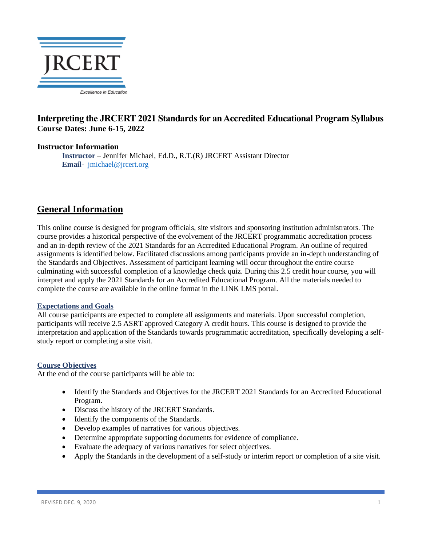

# **Interpreting the JRCERT 2021 Standards for an Accredited Educational Program Syllabus Course Dates: June 6-15, 2022**

# **Instructor Information**

**Instructor** – Jennifer Michael, Ed.D., R.T.(R) JRCERT Assistant Director **Email-** [jmichael@jrcert.org](mailto:jmichael@jrcert.org)

# **General Information**

This online course is designed for program officials, site visitors and sponsoring institution administrators. The course provides a historical perspective of the evolvement of the JRCERT programmatic accreditation process and an in-depth review of the 2021 Standards for an Accredited Educational Program. An outline of required assignments is identified below. Facilitated discussions among participants provide an in-depth understanding of the Standards and Objectives. Assessment of participant learning will occur throughout the entire course culminating with successful completion of a knowledge check quiz. During this 2.5 credit hour course, you will interpret and apply the 2021 Standards for an Accredited Educational Program. All the materials needed to complete the course are available in the online format in the LINK LMS portal.

## **Expectations and Goals**

All course participants are expected to complete all assignments and materials. Upon successful completion, participants will receive 2.5 ASRT approved Category A credit hours. This course is designed to provide the interpretation and application of the Standards towards programmatic accreditation, specifically developing a selfstudy report or completing a site visit.

## **Course Objectives**

At the end of the course participants will be able to:

- Identify the Standards and Objectives for the JRCERT 2021 Standards for an Accredited Educational Program.
- Discuss the history of the JRCERT Standards.
- Identify the components of the Standards.
- Develop examples of narratives for various objectives.
- Determine appropriate supporting documents for evidence of compliance.
- Evaluate the adequacy of various narratives for select objectives.
- Apply the Standards in the development of a self-study or interim report or completion of a site visit.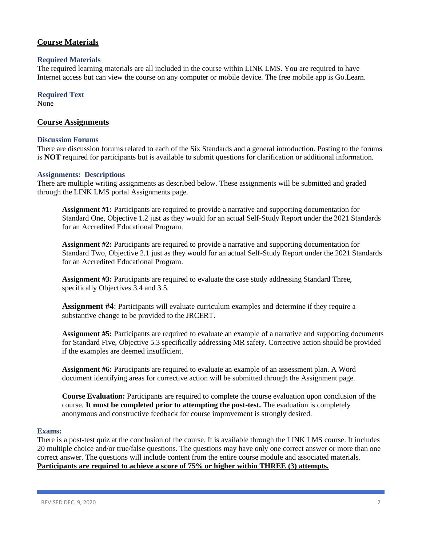# **Course Materials**

### **Required Materials**

The required learning materials are all included in the course within LINK LMS. You are required to have Internet access but can view the course on any computer or mobile device. The free mobile app is Go.Learn.

## **Required Text**

None

### **Course Assignments**

#### **Discussion Forums**

There are discussion forums related to each of the Six Standards and a general introduction. Posting to the forums is **NOT** required for participants but is available to submit questions for clarification or additional information.

#### **Assignments: Descriptions**

There are multiple writing assignments as described below. These assignments will be submitted and graded through the LINK LMS portal Assignments page.

**Assignment #1:** Participants are required to provide a narrative and supporting documentation for Standard One, Objective 1.2 just as they would for an actual Self-Study Report under the 2021 Standards for an Accredited Educational Program.

**Assignment #2:** Participants are required to provide a narrative and supporting documentation for Standard Two, Objective 2.1 just as they would for an actual Self-Study Report under the 2021 Standards for an Accredited Educational Program.

**Assignment #3:** Participants are required to evaluate the case study addressing Standard Three, specifically Objectives 3.4 and 3.5.

**Assignment #4**: Participants will evaluate curriculum examples and determine if they require a substantive change to be provided to the JRCERT.

**Assignment #5:** Participants are required to evaluate an example of a narrative and supporting documents for Standard Five, Objective 5.3 specifically addressing MR safety. Corrective action should be provided if the examples are deemed insufficient.

**Assignment #6:** Participants are required to evaluate an example of an assessment plan. A Word document identifying areas for corrective action will be submitted through the Assignment page.

**Course Evaluation:** Participants are required to complete the course evaluation upon conclusion of the course. **It must be completed prior to attempting the post-test.** The evaluation is completely anonymous and constructive feedback for course improvement is strongly desired.

#### **Exams:**

There is a post-test quiz at the conclusion of the course. It is available through the LINK LMS course. It includes 20 multiple choice and/or true/false questions. The questions may have only one correct answer or more than one correct answer. The questions will include content from the entire course module and associated materials. **Participants are required to achieve a score of 75% or higher within THREE (3) attempts.**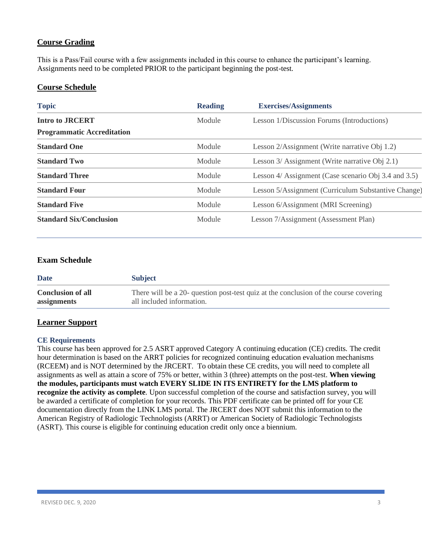# **Course Grading**

This is a Pass/Fail course with a few assignments included in this course to enhance the participant's learning. Assignments need to be completed PRIOR to the participant beginning the post-test.

# **Course Schedule**

| <b>Topic</b>                      | <b>Reading</b> | <b>Exercises/Assignments</b>                         |
|-----------------------------------|----------------|------------------------------------------------------|
| <b>Intro to JRCERT</b>            | Module         | Lesson 1/Discussion Forums (Introductions)           |
| <b>Programmatic Accreditation</b> |                |                                                      |
| <b>Standard One</b>               | Module         | Lesson 2/Assignment (Write narrative Obj 1.2)        |
| <b>Standard Two</b>               | Module         | Lesson 3/ Assignment (Write narrative Obj 2.1)       |
| <b>Standard Three</b>             | Module         | Lesson 4/ Assignment (Case scenario Obj 3.4 and 3.5) |
| <b>Standard Four</b>              | Module         | Lesson 5/Assignment (Curriculum Substantive Change)  |
| <b>Standard Five</b>              | Module         | Lesson 6/Assignment (MRI Screening)                  |
| <b>Standard Six/Conclusion</b>    | Module         | Lesson 7/Assignment (Assessment Plan)                |

# **Exam Schedule**

| <b>Date</b>              | <b>Subject</b>                                                                       |
|--------------------------|--------------------------------------------------------------------------------------|
| <b>Conclusion of all</b> | There will be a 20- question post-test quiz at the conclusion of the course covering |
| assignments              | all included information.                                                            |

# **Learner Support**

## **CE Requirements**

This course has been approved for 2.5 ASRT approved Category A continuing education (CE) credits. The credit hour determination is based on the ARRT policies for recognized continuing education evaluation mechanisms (RCEEM) and is NOT determined by the JRCERT. To obtain these CE credits, you will need to complete all assignments as well as attain a score of 75% or better, within 3 (three) attempts on the post-test. **When viewing the modules, participants must watch EVERY SLIDE IN ITS ENTIRETY for the LMS platform to recognize the activity as complete**. Upon successful completion of the course and satisfaction survey, you will be awarded a certificate of completion for your records. This PDF certificate can be printed off for your CE documentation directly from the LINK LMS portal. The JRCERT does NOT submit this information to the American Registry of Radiologic Technologists (ARRT) or American Society of Radiologic Technologists (ASRT). This course is eligible for continuing education credit only once a biennium.